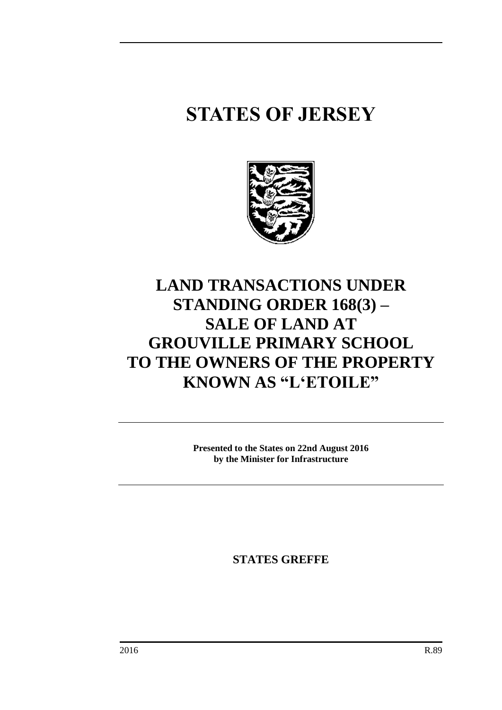## **STATES OF JERSEY**



## **LAND TRANSACTIONS UNDER STANDING ORDER 168(3) – SALE OF LAND AT GROUVILLE PRIMARY SCHOOL TO THE OWNERS OF THE PROPERTY KNOWN AS "L'ETOILE"**

**Presented to the States on 22nd August 2016 by the Minister for Infrastructure**

**STATES GREFFE**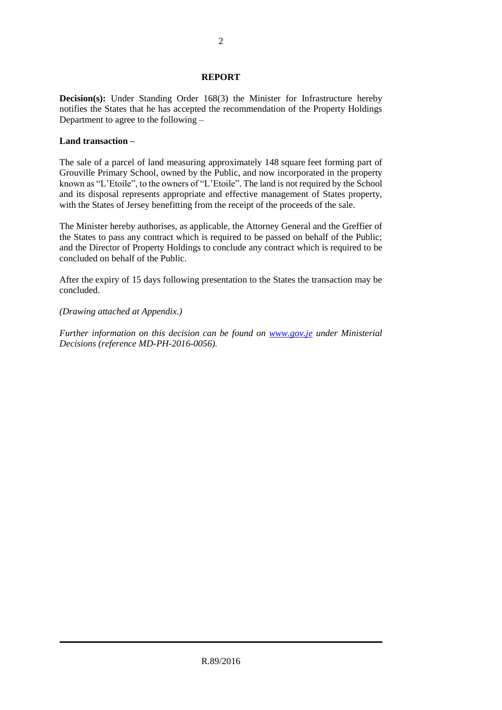## **REPORT**

**Decision(s):** Under Standing Order 168(3) the Minister for Infrastructure hereby notifies the States that he has accepted the recommendation of the Property Holdings Department to agree to the following –

## **Land transaction –**

The sale of a parcel of land measuring approximately 148 square feet forming part of Grouville Primary School, owned by the Public, and now incorporated in the property known as "L'Etoile", to the owners of "L'Etoile". The land is not required by the School and its disposal represents appropriate and effective management of States property, with the States of Jersey benefitting from the receipt of the proceeds of the sale.

The Minister hereby authorises, as applicable, the Attorney General and the Greffier of the States to pass any contract which is required to be passed on behalf of the Public; and the Director of Property Holdings to conclude any contract which is required to be concluded on behalf of the Public.

After the expiry of 15 days following presentation to the States the transaction may be concluded.

*(Drawing attached at Appendix.)*

*Further information on this decision can be found on [www.gov.je](http://www.gov.je/) under Ministerial Decisions (reference MD-PH-2016-0056).*